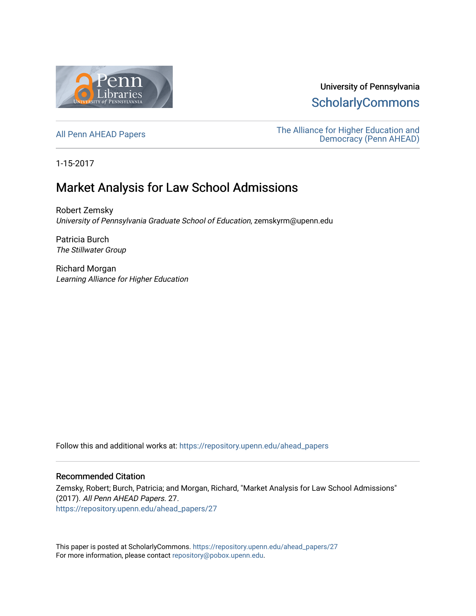

University of Pennsylvania **ScholarlyCommons** 

[All Penn AHEAD Papers](https://repository.upenn.edu/ahead_papers) **The Alliance for Higher Education and** [Democracy \(Penn AHEAD\)](https://repository.upenn.edu/ahead) 

1-15-2017

# Market Analysis for Law School Admissions

Robert Zemsky University of Pennsylvania Graduate School of Education, zemskyrm@upenn.edu

Patricia Burch The Stillwater Group

Richard Morgan Learning Alliance for Higher Education

Follow this and additional works at: [https://repository.upenn.edu/ahead\\_papers](https://repository.upenn.edu/ahead_papers?utm_source=repository.upenn.edu%2Fahead_papers%2F27&utm_medium=PDF&utm_campaign=PDFCoverPages) 

#### Recommended Citation

Zemsky, Robert; Burch, Patricia; and Morgan, Richard, "Market Analysis for Law School Admissions" (2017). All Penn AHEAD Papers. 27. [https://repository.upenn.edu/ahead\\_papers/27](https://repository.upenn.edu/ahead_papers/27?utm_source=repository.upenn.edu%2Fahead_papers%2F27&utm_medium=PDF&utm_campaign=PDFCoverPages)

This paper is posted at ScholarlyCommons. [https://repository.upenn.edu/ahead\\_papers/27](https://repository.upenn.edu/ahead_papers/27)  For more information, please contact [repository@pobox.upenn.edu.](mailto:repository@pobox.upenn.edu)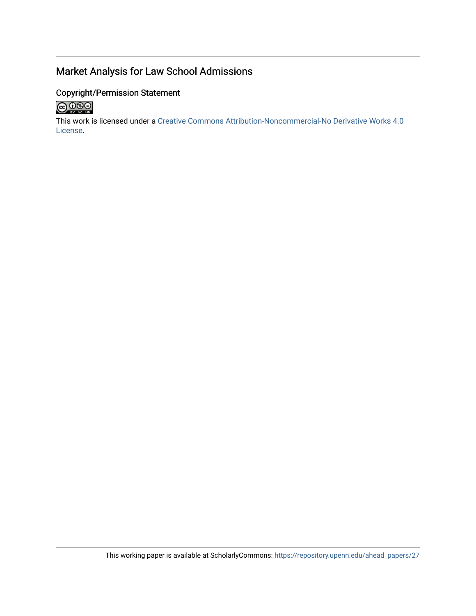# Market Analysis for Law School Admissions

### Copyright/Permission Statement



This work is licensed under a [Creative Commons Attribution-Noncommercial-No Derivative Works 4.0](http://creativecommons.org/licenses/by-nc-nd/4.0/) [License](http://creativecommons.org/licenses/by-nc-nd/4.0/).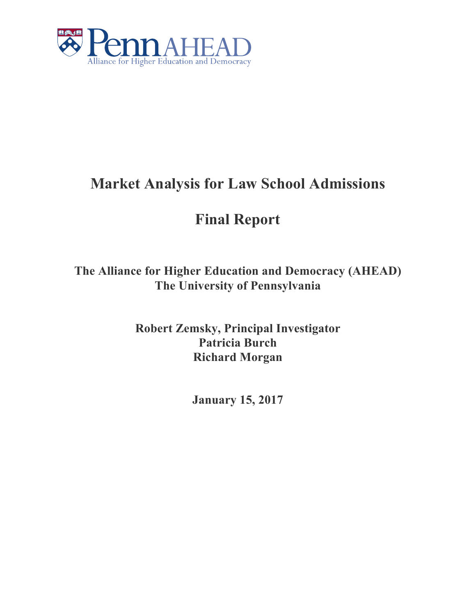

# **Market Analysis for Law School Admissions**

# **Final Report**

**The Alliance for Higher Education and Democracy (AHEAD) The University of Pennsylvania**

> **Robert Zemsky, Principal Investigator Patricia Burch Richard Morgan**

> > **January 15, 2017**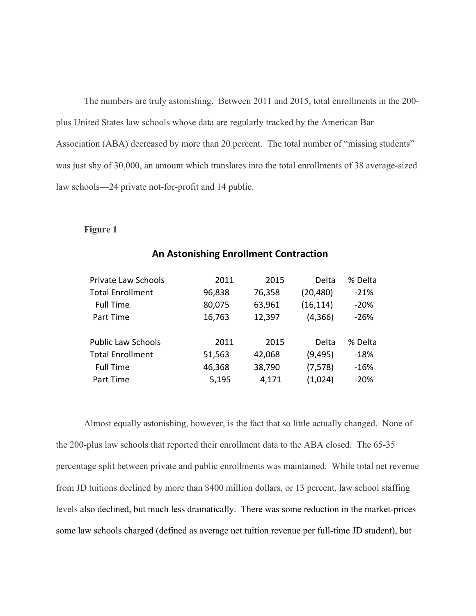The numbers are truly astonishing. Between 2011 and 2015, total enrollments in the 200 plus United States law schools whose data are regularly tracked by the American Bar Association (ABA) decreased by more than 20 percent. The total number of "missing students" was just shy of 30,000, an amount which translates into the total enrollments of 38 average-sized law schools—24 private not-for-profit and 14 public.

#### **Figure 1**

| <b>Private Law Schools</b> | 2011   | 2015   | Delta     | % Delta |
|----------------------------|--------|--------|-----------|---------|
| <b>Total Enrollment</b>    | 96,838 | 76,358 | (20, 480) | $-21%$  |
| <b>Full Time</b>           | 80,075 | 63,961 | (16, 114) | $-20%$  |
| Part Time                  | 16,763 | 12,397 | (4,366)   | $-26%$  |
| <b>Public Law Schools</b>  | 2011   | 2015   | Delta     | % Delta |
| <b>Total Enrollment</b>    | 51,563 | 42,068 | (9, 495)  | $-18%$  |
| <b>Full Time</b>           | 46,368 | 38,790 | (7, 578)  | $-16%$  |
| Part Time                  | 5,195  | 4,171  | (1,024)   | $-20%$  |
|                            |        |        |           |         |

## **An Astonishing Enrollment Contraction**

Almost equally astonishing, however, is the fact that so little actually changed. None of the 200-plus law schools that reported their enrollment data to the ABA closed. The 65-35 percentage split between private and public enrollments was maintained. While total net revenue from JD tuitions declined by more than \$400 million dollars, or 13 percent, law school staffing levels also declined, but much less dramatically. There was some reduction in the market-prices some law schools charged (defined as average net tuition revenue per full-time JD student), but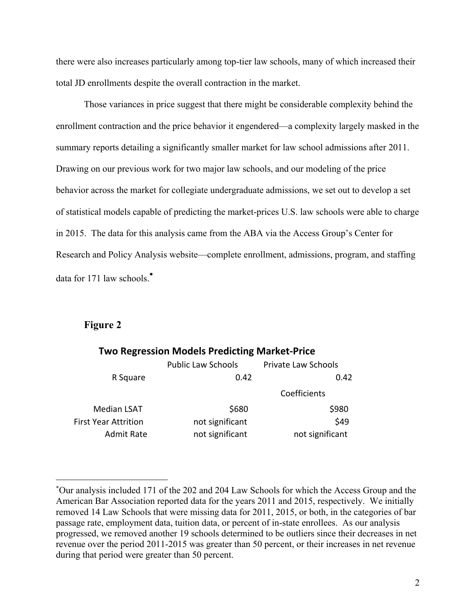there were also increases particularly among top-tier law schools, many of which increased their total JD enrollments despite the overall contraction in the market.

Those variances in price suggest that there might be considerable complexity behind the enrollment contraction and the price behavior it engendered—a complexity largely masked in the summary reports detailing a significantly smaller market for law school admissions after 2011. Drawing on our previous work for two major law schools, and our modeling of the price behavior across the market for collegiate undergraduate admissions, we set out to develop a set of statistical models capable of predicting the market-prices U.S. law schools were able to charge in 2015. The data for this analysis came from the ABA via the Access Group's Center for Research and Policy Analysis website—complete enrollment, admissions, program, and staffing data for 171 law schools. \*

#### **Figure 2**

 $\overline{a}$ 

|                             | <b>Two Regression Models Predicting Market-Price</b> |                     |  |
|-----------------------------|------------------------------------------------------|---------------------|--|
|                             | <b>Public Law Schools</b>                            | Private Law Schools |  |
| R Square                    | 0.42                                                 | 0.42                |  |
|                             |                                                      | Coefficients        |  |
| <b>Median LSAT</b>          | \$680                                                | \$980               |  |
| <b>First Year Attrition</b> | not significant                                      | \$49                |  |
| <b>Admit Rate</b>           | not significant                                      | not significant     |  |

<sup>\*</sup> Our analysis included 171 of the 202 and 204 Law Schools for which the Access Group and the American Bar Association reported data for the years 2011 and 2015, respectively. We initially removed 14 Law Schools that were missing data for 2011, 2015, or both, in the categories of bar passage rate, employment data, tuition data, or percent of in-state enrollees. As our analysis progressed, we removed another 19 schools determined to be outliers since their decreases in net revenue over the period 2011-2015 was greater than 50 percent, or their increases in net revenue during that period were greater than 50 percent.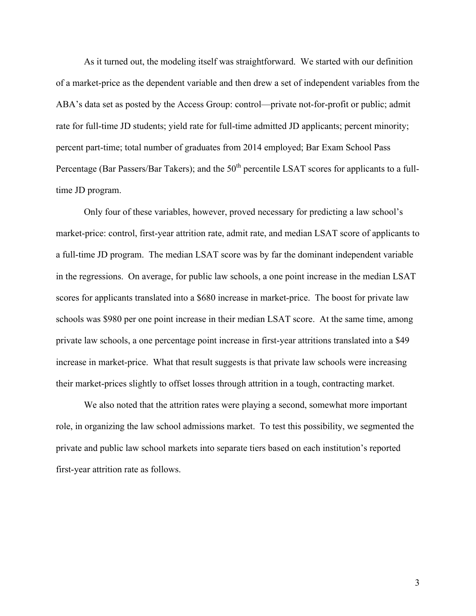As it turned out, the modeling itself was straightforward. We started with our definition of a market-price as the dependent variable and then drew a set of independent variables from the ABA's data set as posted by the Access Group: control—private not-for-profit or public; admit rate for full-time JD students; yield rate for full-time admitted JD applicants; percent minority; percent part-time; total number of graduates from 2014 employed; Bar Exam School Pass Percentage (Bar Passers/Bar Takers); and the 50<sup>th</sup> percentile LSAT scores for applicants to a fulltime JD program.

Only four of these variables, however, proved necessary for predicting a law school's market-price: control, first-year attrition rate, admit rate, and median LSAT score of applicants to a full-time JD program. The median LSAT score was by far the dominant independent variable in the regressions. On average, for public law schools, a one point increase in the median LSAT scores for applicants translated into a \$680 increase in market-price. The boost for private law schools was \$980 per one point increase in their median LSAT score. At the same time, among private law schools, a one percentage point increase in first-year attritions translated into a \$49 increase in market-price. What that result suggests is that private law schools were increasing their market-prices slightly to offset losses through attrition in a tough, contracting market.

We also noted that the attrition rates were playing a second, somewhat more important role, in organizing the law school admissions market. To test this possibility, we segmented the private and public law school markets into separate tiers based on each institution's reported first-year attrition rate as follows.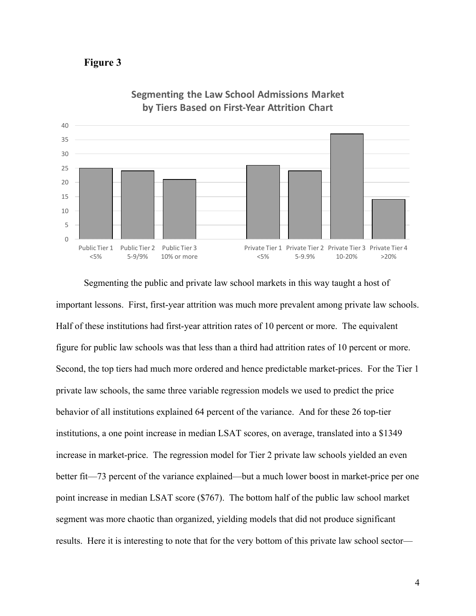



**Segmenting the Law School Admissions Market by Tiers Based on First-Year Attrition Chart** 

Segmenting the public and private law school markets in this way taught a host of important lessons. First, first-year attrition was much more prevalent among private law schools. Half of these institutions had first-year attrition rates of 10 percent or more. The equivalent figure for public law schools was that less than a third had attrition rates of 10 percent or more. Second, the top tiers had much more ordered and hence predictable market-prices. For the Tier 1 private law schools, the same three variable regression models we used to predict the price behavior of all institutions explained 64 percent of the variance. And for these 26 top-tier institutions, a one point increase in median LSAT scores, on average, translated into a \$1349 increase in market-price. The regression model for Tier 2 private law schools yielded an even better fit—73 percent of the variance explained—but a much lower boost in market-price per one point increase in median LSAT score (\$767). The bottom half of the public law school market segment was more chaotic than organized, yielding models that did not produce significant results. Here it is interesting to note that for the very bottom of this private law school sector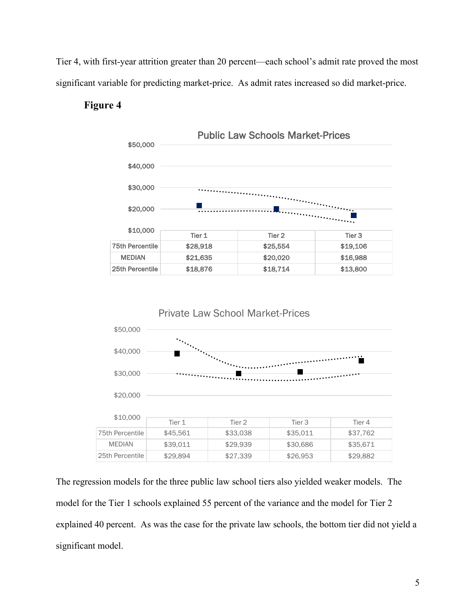Tier 4, with first-year attrition greater than 20 percent—each school's admit rate proved the most significant variable for predicting market-price. As admit rates increased so did market-price.

## **Figure 4**





The regression models for the three public law school tiers also yielded weaker models. The model for the Tier 1 schools explained 55 percent of the variance and the model for Tier 2 explained 40 percent. As was the case for the private law schools, the bottom tier did not yield a significant model.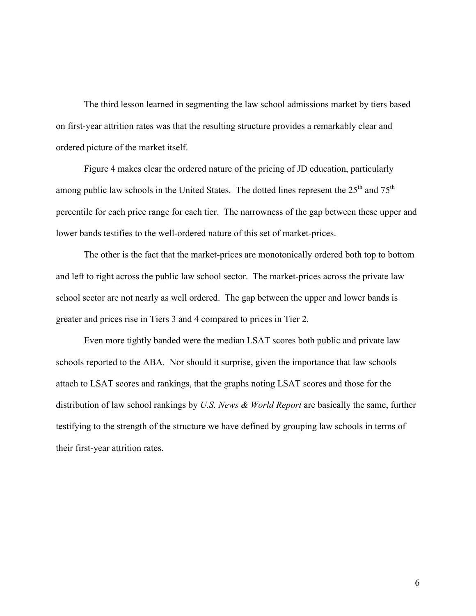The third lesson learned in segmenting the law school admissions market by tiers based on first-year attrition rates was that the resulting structure provides a remarkably clear and ordered picture of the market itself.

Figure 4 makes clear the ordered nature of the pricing of JD education, particularly among public law schools in the United States. The dotted lines represent the 25<sup>th</sup> and 75<sup>th</sup> percentile for each price range for each tier. The narrowness of the gap between these upper and lower bands testifies to the well-ordered nature of this set of market-prices.

The other is the fact that the market-prices are monotonically ordered both top to bottom and left to right across the public law school sector. The market-prices across the private law school sector are not nearly as well ordered. The gap between the upper and lower bands is greater and prices rise in Tiers 3 and 4 compared to prices in Tier 2.

Even more tightly banded were the median LSAT scores both public and private law schools reported to the ABA. Nor should it surprise, given the importance that law schools attach to LSAT scores and rankings, that the graphs noting LSAT scores and those for the distribution of law school rankings by *U.S. News & World Report* are basically the same, further testifying to the strength of the structure we have defined by grouping law schools in terms of their first-year attrition rates.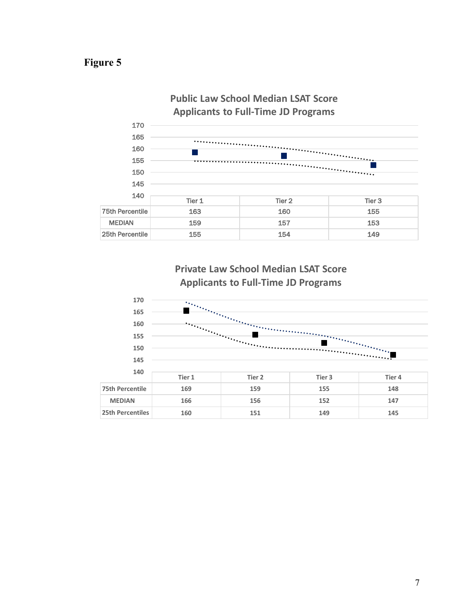# **Figure 5**



**Private Law School Median LSAT Score Applicants to Full-Time JD Programs** 

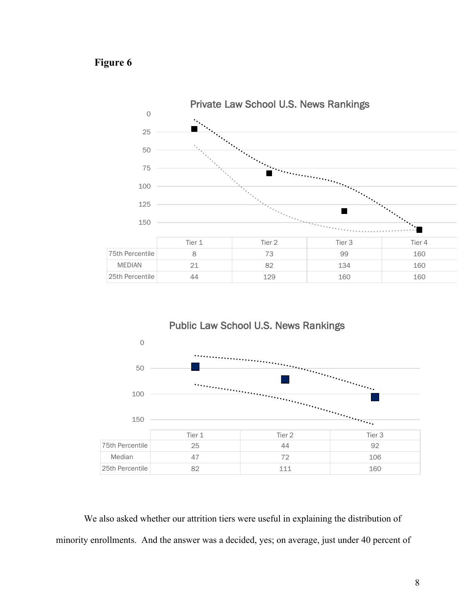# **Figure 6**





We also asked whether our attrition tiers were useful in explaining the distribution of minority enrollments. And the answer was a decided, yes; on average, just under 40 percent of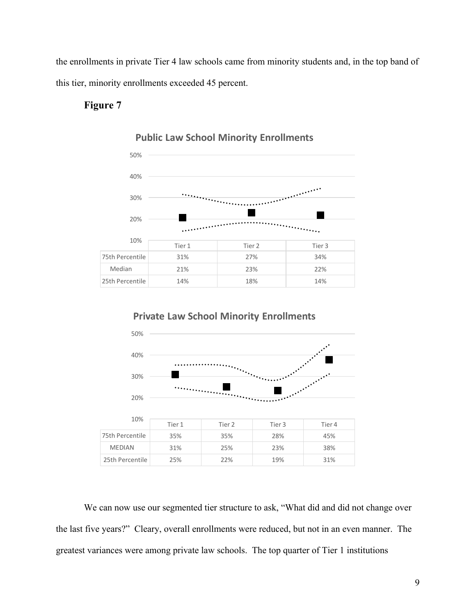the enrollments in private Tier 4 law schools came from minority students and, in the top band of this tier, minority enrollments exceeded 45 percent.

# **Figure 7**

30%



#### **Public Law School Minority Enrollments**







We can now use our segmented tier structure to ask, "What did and did not change over the last five years?" Cleary, overall enrollments were reduced, but not in an even manner. The greatest variances were among private law schools. The top quarter of Tier 1 institutions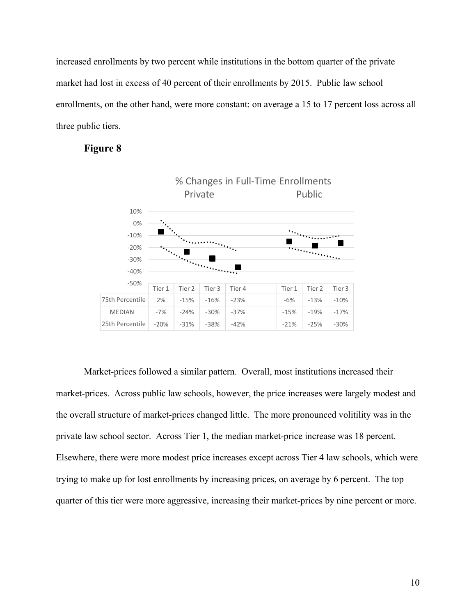increased enrollments by two percent while institutions in the bottom quarter of the private market had lost in excess of 40 percent of their enrollments by 2015. Public law school enrollments, on the other hand, were more constant: on average a 15 to 17 percent loss across all three public tiers.





Market-prices followed a similar pattern. Overall, most institutions increased their market-prices. Across public law schools, however, the price increases were largely modest and the overall structure of market-prices changed little. The more pronounced volitility was in the private law school sector. Across Tier 1, the median market-price increase was 18 percent. Elsewhere, there were more modest price increases except across Tier 4 law schools, which were trying to make up for lost enrollments by increasing prices, on average by 6 percent. The top quarter of this tier were more aggressive, increasing their market-prices by nine percent or more.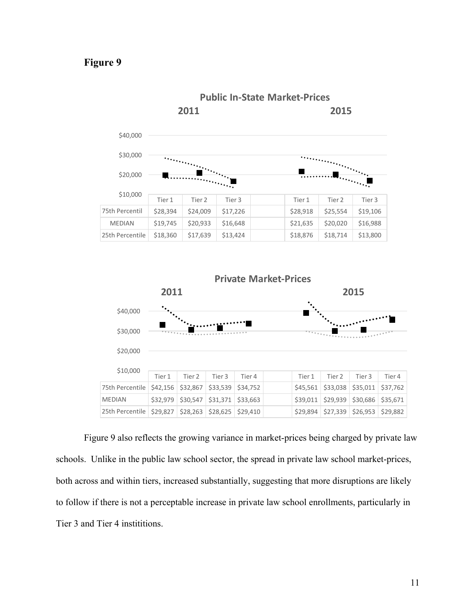## **Figure 9**





Figure 9 also reflects the growing variance in market-prices being charged by private law schools. Unlike in the public law school sector, the spread in private law school market-prices, both across and within tiers, increased substantially, suggesting that more disruptions are likely to follow if there is not a perceptable increase in private law school enrollments, particularly in Tier 3 and Tier 4 instititions.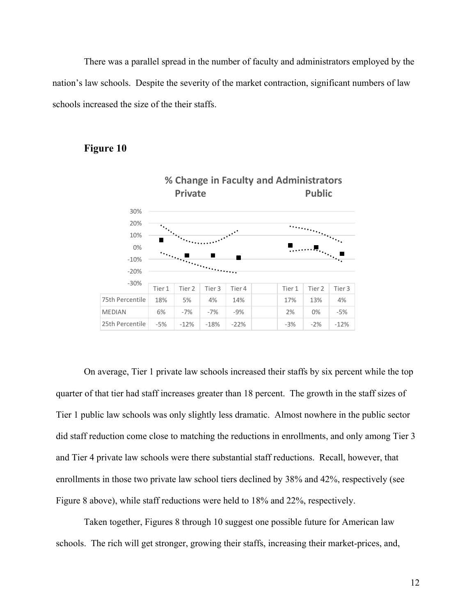There was a parallel spread in the number of faculty and administrators employed by the nation's law schools. Despite the severity of the market contraction, significant numbers of law schools increased the size of the their staffs.

## **Figure 10**



On average, Tier 1 private law schools increased their staffs by six percent while the top quarter of that tier had staff increases greater than 18 percent. The growth in the staff sizes of Tier 1 public law schools was only slightly less dramatic. Almost nowhere in the public sector did staff reduction come close to matching the reductions in enrollments, and only among Tier 3 and Tier 4 private law schools were there substantial staff reductions. Recall, however, that enrollments in those two private law school tiers declined by 38% and 42%, respectively (see Figure 8 above), while staff reductions were held to 18% and 22%, respectively.

Taken together, Figures 8 through 10 suggest one possible future for American law schools. The rich will get stronger, growing their staffs, increasing their market-prices, and,